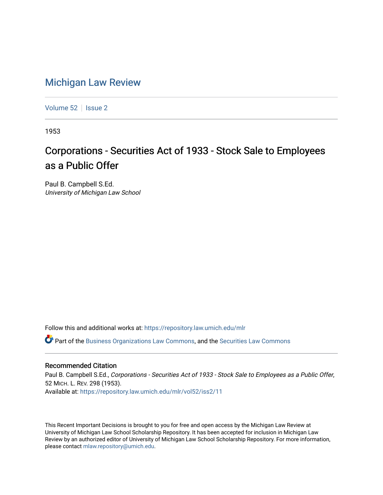## [Michigan Law Review](https://repository.law.umich.edu/mlr)

[Volume 52](https://repository.law.umich.edu/mlr/vol52) | [Issue 2](https://repository.law.umich.edu/mlr/vol52/iss2)

1953

## Corporations - Securities Act of 1933 - Stock Sale to Employees as a Public Offer

Paul B. Campbell S.Ed. University of Michigan Law School

Follow this and additional works at: [https://repository.law.umich.edu/mlr](https://repository.law.umich.edu/mlr?utm_source=repository.law.umich.edu%2Fmlr%2Fvol52%2Fiss2%2F11&utm_medium=PDF&utm_campaign=PDFCoverPages) 

 $\bullet$  Part of the [Business Organizations Law Commons](http://network.bepress.com/hgg/discipline/900?utm_source=repository.law.umich.edu%2Fmlr%2Fvol52%2Fiss2%2F11&utm_medium=PDF&utm_campaign=PDFCoverPages), and the Securities Law Commons

## Recommended Citation

Paul B. Campbell S.Ed., Corporations - Securities Act of 1933 - Stock Sale to Employees as a Public Offer, 52 MICH. L. REV. 298 (1953). Available at: [https://repository.law.umich.edu/mlr/vol52/iss2/11](https://repository.law.umich.edu/mlr/vol52/iss2/11?utm_source=repository.law.umich.edu%2Fmlr%2Fvol52%2Fiss2%2F11&utm_medium=PDF&utm_campaign=PDFCoverPages) 

This Recent Important Decisions is brought to you for free and open access by the Michigan Law Review at University of Michigan Law School Scholarship Repository. It has been accepted for inclusion in Michigan Law Review by an authorized editor of University of Michigan Law School Scholarship Repository. For more information, please contact [mlaw.repository@umich.edu.](mailto:mlaw.repository@umich.edu)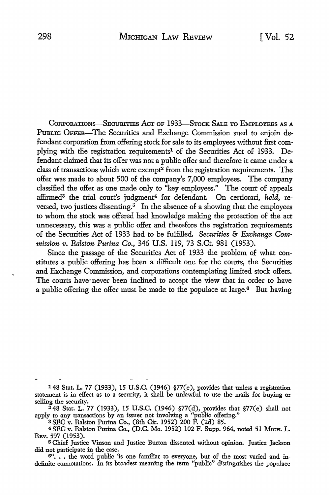CoRPORATIONS-SBCURITIES ACT OF 1933-STOCK SALB TO EMPLOYEES AS A PUBLIC OFFER-The Securities and Exchange Commission sued to enjoin defendant corporation from offering stock for sale to its employees without first complying with the registration requirements<sup>1</sup> of the Securities Act of 1933. Defendant claimed that its offer was not a public offer and therefore it came under a class of transactions which were exempt<sup>2</sup> from the registration requirements. The offer was made to about 500 of the company's 7,000 employees. The company classified the offer as one made only to ''key employees." The court of appeals affirmed3 the trial court's judgment4 for defendant. On certiorari, *held,* reversed, two justices dissenting. $5\text{ In the absence of a showing that the employees}$ to whom the stock was offered had knowledge making the protection of the act unnecessary, this was a public offer and therefore the registration requirements of the Securities Act of 1933 had to be fulfilled. *Securities* & *Exchange Com*mission *v. Ralston Purina Co.*, 346 U.S. 119, 73 S.Ct. 981 (1953).

Since the passage of the Securities Act of 1933 the problem of what constitutes a public offering has been a difficult one for the courts, the Securities and Exchange Commission, and corporations contemplating limited stock offers. The courts have· never been inclined to accept the view that in order to have a public offering the offer must be made to the populace at large.<sup>6</sup> But having

148 Stat. L. 77 (1933), 15 **U.S.C.** (1946) §77(e), provides that unless a registration statement is in effect as to a security, it shall be unlawful to use the mails for buying or selling the security.

248 Stat. L. 77 (1933), 15 U.S.C. (1946) §77(d), provides that §77(e) shall not apply to any transactions by an issuer not involving a "public offering."

a SEC v. Ralston Purina Co., (8th Cir. 1952) 200 F. (2d) 85.

4 SEC v. Ralston Purina Co., (D.C. Mo. 1952) 102 F. Supp. 964, noted 51 MICH. L. REV. 597 (1953).

<sup>5</sup>Chief Justice Vinson and Justice Burton dissented without opinion. Justice Jackson did not participate in the case.

6"... the word public 'is one familiar to everyone, but of the most varied and indefinite connotations. In its broadest meaning the term "public" distinguishes the populace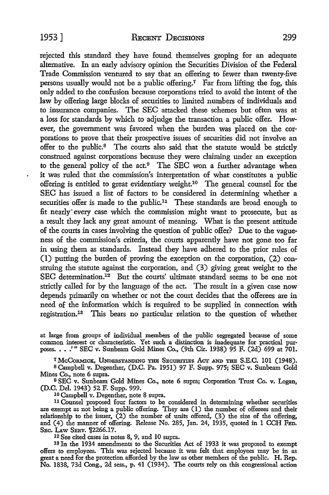rejected this standard they have found themselves groping for an adequate alternative. In an early advisory opinion the Securities Division of the Federal Trade Commission ventured to say that an offering to fewer than twenty-five persons usually would not be a public offering.7 Far from lifting the fog, this only added to the confusion because corporations tried to avoid the intent of the law by offering large blocks of securities to limited numbers of individuals and to insurance companies. The SEC attacked these schemes but often was at a loss for standards by which to adjudge the transaction a public offer. However, the government was favored when the burden was placed on the corporations to prove that their prospective issues of securities did not involve an offer to the public.<sup>8</sup> The courts also said that the statute would be strictly construed against corporations because they were claiming under an exception to the general policy of the act.<sup>9</sup> The SEC won a further advantage when it was ruled that the commission's interpretation of what constitutes a public offering is entitled to great evidentiary weight.10 The general counsel for the SEC has issued a list of factors to be considered in determining whether a securities offer is made to the public.<sup>11</sup> These standards are broad enough to fit nearly" every case which the commission might want to prosecute, but as a result they lack any great amount of meaning. What is the present attitude of the courts in cases involving the question of public offer? Due to the vagueness of the commission's criteria, the courts apparently have not gone too far in using them as standards. Instead they have adhered to the prior rules of (1) putting the burden of proving the exception on the corporation, (2) construing the statute against the corporation, and (3) giving great weight to the SEC determination.<sup>12</sup> But the courts' ultimate standard seems to be one not strictly called for by the language of the act. The result in a given case now depends primarily on whether or not the court decides that the offerees are in need of the information which is required to be supplied in connection with registration.13 This bears no particular relation to the question of whether

at large from groups of individual members of the public segregated because of some common interest or characteristic. Yet such a distinction is inadequate for practical purposes. • • .'" SEC v. Sunbeam Gold Mines Co., (9th Cir. 1938) 95 F. (2d) 699 at 701.

<sup>7</sup> McCormick, UNDERSTANDING THE SECURITIES ACT AND THE S.E.C. 101 (1948). s Campbell v. Degenther, (D.C. Pa. 1951) 97 F. Supp. 975; SEC v. Sunbeam Gold

Mines Co., note 6 supra. <sup>9</sup>SEC v. Sunbeam Gold Mines Co., note 6 supra; Corporation Trust Co. v. Logan,

(D.C. Del. 1943) 52 F. Supp. 999.

10 Campbell v. Degenther, note 8 supra.

11 Counsel proposed four factors to be considered in determining whether securities are exempt as not being a public offering. They are (I) the number of offerees and their relationship to the issuer, (2) the number of units offered, (3) the size of the offering, and (4) the manner of offering. Release No. 285, Jan. 24, 1935, quoted in 1 CCH FED, SEC. LAW SERV. [2266.17.

12 See cited cases in notes 8, 9, and 10 supra.

18 In the 1934 amendments to the Securities Act of 1933 it was proposed to exempt offers to employees. This was rejected because it was felt that employees may be in as great a need for the protection afforded by the law as other members of the public. H. Rep. No. 1838, 73d Cong., 2d sess., p. 41 (1934). The courts rely on this congressional action